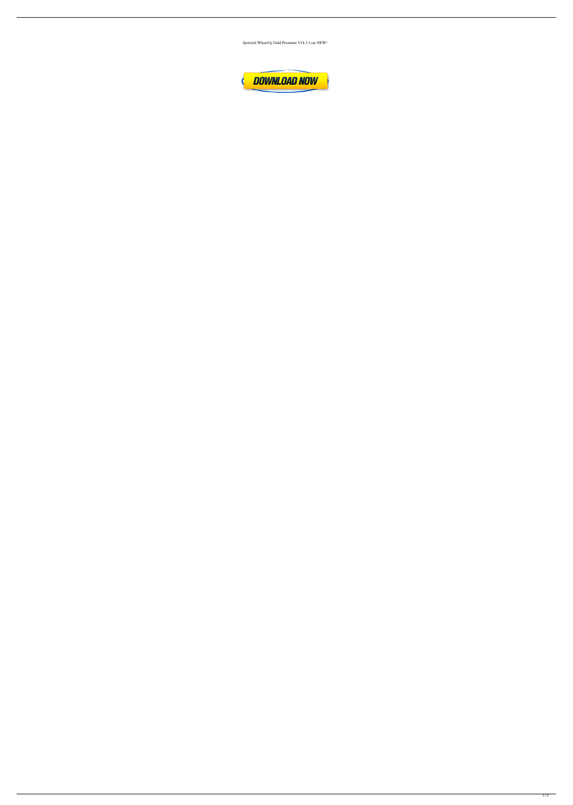Ipswitch WhatsUp Gold Premium V14.3.1.rar NEW!